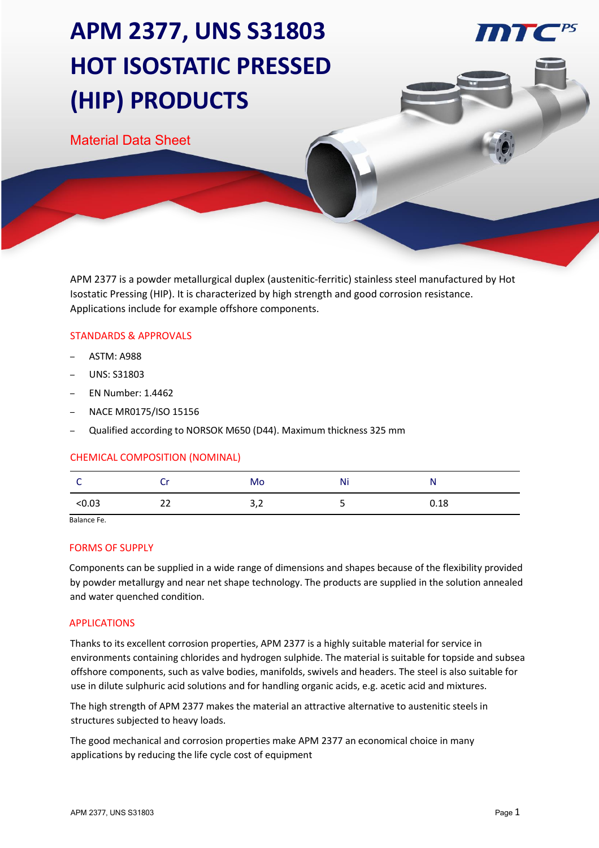# **APM 2377, UNS S31803 HOT ISOSTATIC PRESSED (HIP) PRODUCTS**

Material Data Sheet

APM 2377 is a powder metallurgical duplex (austenitic-ferritic) stainless steel manufactured by Hot Isostatic Pressing (HIP). It is characterized by high strength and good corrosion resistance. Applications include for example offshore components.

### STANDARDS & APPROVALS

- ASTM: A988
- UNS: S31803
- EN Number: 1.4462
- NACE MR0175/ISO 15156
- Qualified according to NORSOK M650 (D44). Maximum thickness 325 mm

#### CHEMICAL COMPOSITION (NOMINAL)

| ~      |    | Mo  | Ni | N    |
|--------|----|-----|----|------|
| < 0.03 | 22 | 3,2 |    | 0.18 |

Balance Fe.

#### FORMS OF SUPPLY

Components can be supplied in a wide range of dimensions and shapes because of the flexibility provided by powder metallurgy and near net shape technology. The products are supplied in the solution annealed and water quenched condition.

### APPLICATIONS

Thanks to its excellent corrosion properties, APM 2377 is a highly suitable material for service in environments containing chlorides and hydrogen sulphide. The material is suitable for topside and subsea offshore components, such as valve bodies, manifolds, swivels and headers. The steel is also suitable for use in dilute sulphuric acid solutions and for handling organic acids, e.g. acetic acid and mixtures.

The high strength of APM 2377 makes the material an attractive alternative to austenitic steels in structures subjected to heavy loads.

The good mechanical and corrosion properties make APM 2377 an economical choice in many applications by reducing the life cycle cost of equipment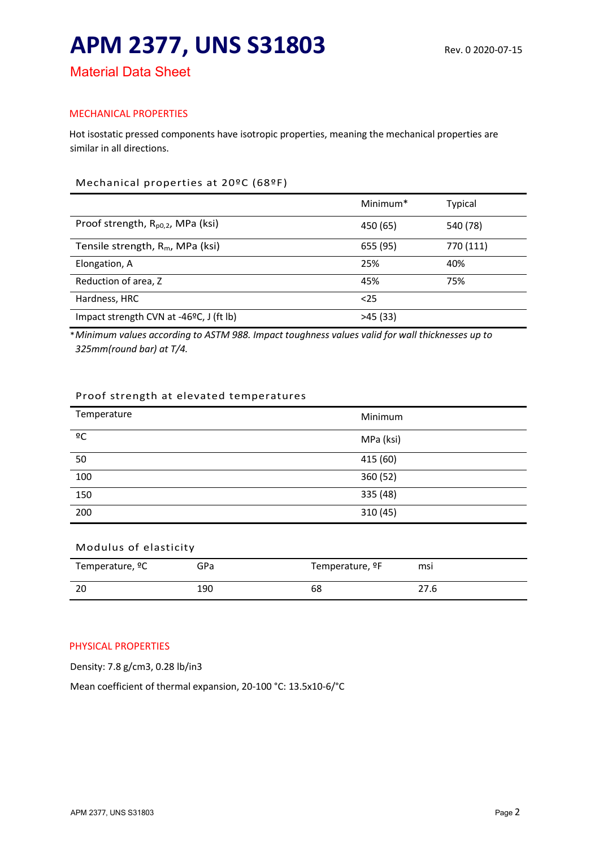## **APM 2377, UNS S31803** Rev. 0 2020-07-15

Material Data Sheet

## MECHANICAL PROPERTIES

Hot isostatic pressed components have isotropic properties, meaning the mechanical properties are similar in all directions.

## Mechanical properties at 20ºC (68ºF)

|                                               | Minimum <sup>*</sup> | Typical   |
|-----------------------------------------------|----------------------|-----------|
| Proof strength, R <sub>p0,2</sub> , MPa (ksi) | 450 (65)             | 540 (78)  |
| Tensile strength, $R_m$ , MPa (ksi)           | 655 (95)             | 770 (111) |
| Elongation, A                                 | 25%                  | 40%       |
| Reduction of area, Z                          | 45%                  | 75%       |
| Hardness, HRC                                 | $25$                 |           |
| Impact strength CVN at -46°C, J (ft lb)       | >45(33)              |           |

\**Minimum values according to ASTM 988. Impact toughness values valid for wall thicknesses up to 325mm(round bar) at T/4.*

### Proof strength at elevated temperatures

| Temperature       | Minimum   |
|-------------------|-----------|
| $\overline{C}$    | MPa (ksi) |
| 50                | 415 (60)  |
| 100               | 360 (52)  |
| $\frac{150}{150}$ | 335 (48)  |
| 200               | 310 (45)  |

## Modulus of elasticity

| Temperature, <sup>o</sup> C | GPa | Temperature, <sup>o</sup> F | msi  |
|-----------------------------|-----|-----------------------------|------|
| 20                          | 190 | 68                          | 27.6 |

## PHYSICAL PROPERTIES

Density: 7.8 g/cm3, 0.28 lb/in3

Mean coefficient of thermal expansion, 20-100 °C: 13.5x10-6/°C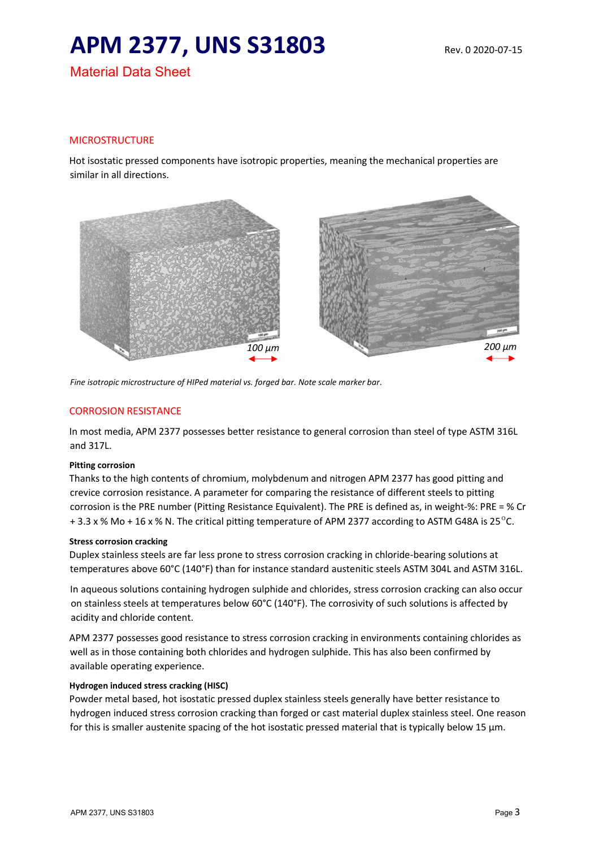## **APM 2377, UNS S31803** Rev. 0 2020-07-15

Material Data Sheet

## MICROSTRUCTURE

Hot isostatic pressed components have isotropic properties, meaning the mechanical properties are similar in all directions.



*Fine isotropic microstructure of HIPed material vs. forged bar. Note scale marker bar*.

#### CORROSION RESISTANCE

In most media, APM 2377 possesses better resistance to general corrosion than steel of type ASTM 316L and 317L.

#### **Pitting corrosion**

Thanks to the high contents of chromium, molybdenum and nitrogen APM 2377 has good pitting and crevice corrosion resistance. A parameter for comparing the resistance of different steels to pitting corrosion is the PRE number (Pitting Resistance Equivalent). The PRE is defined as, in weight-%: PRE = % Cr  $+3.3$  x % Mo + 16 x % N. The critical pitting temperature of APM 2377 according to ASTM G48A is 25<sup>o</sup>C.

#### **Stress corrosion cracking**

Duplex stainless steels are far less prone to stress corrosion cracking in chloride-bearing solutions at temperatures above 60°C (140°F) than for instance standard austenitic steels ASTM 304L and ASTM 316L.

In aqueous solutions containing hydrogen sulphide and chlorides, stress corrosion cracking can also occur on stainless steels at temperatures below 60°C (140°F). The corrosivity of such solutions is affected by acidity and chloride content.

APM 2377 possesses good resistance to stress corrosion cracking in environments containing chlorides as well as in those containing both chlorides and hydrogen sulphide. This has also been confirmed by available operating experience.

#### **Hydrogen induced stress cracking (HISC)**

Powder metal based, hot isostatic pressed duplex stainless steels generally have better resistance to hydrogen induced stress corrosion cracking than forged or cast material duplex stainless steel. One reason for this is smaller austenite spacing of the hot isostatic pressed material that is typically below 15  $\mu$ m.